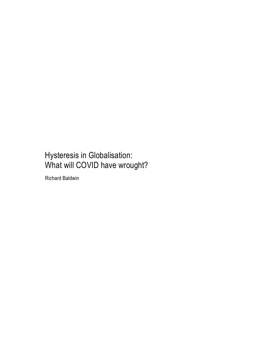### Hysteresis in Globalisation: What will COVID have wrought?

Richard Baldwin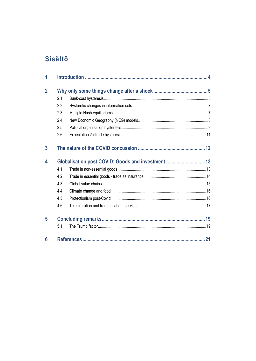### **Sisältö**

| 1              |                                                    |  |  |  |
|----------------|----------------------------------------------------|--|--|--|
| $\overline{2}$ |                                                    |  |  |  |
|                | 2.1                                                |  |  |  |
|                | 2.2                                                |  |  |  |
|                | 2.3                                                |  |  |  |
|                | 2.4                                                |  |  |  |
|                | 2.5                                                |  |  |  |
|                | 2.6                                                |  |  |  |
| 3              |                                                    |  |  |  |
| 4              | Globalisation post COVID: Goods and investment  13 |  |  |  |
|                | 4.1                                                |  |  |  |
|                | 4.2                                                |  |  |  |
|                | 4.3                                                |  |  |  |
|                | 4.4                                                |  |  |  |
|                | 4.5                                                |  |  |  |
|                | 4.6                                                |  |  |  |
| 5              |                                                    |  |  |  |
|                | 5.1                                                |  |  |  |
| 6              |                                                    |  |  |  |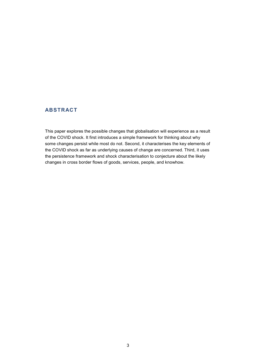#### **ABSTRACT**

This paper explores the possible changes that globalisation will experience as a result of the COVID shock. It first introduces a simple framework for thinking about why some changes persist while most do not. Second, it characterises the key elements of the COVID shock as far as underlying causes of change are concerned. Third, it uses the persistence framework and shock characterisation to conjecture about the likely changes in cross border flows of goods, services, people, and knowhow.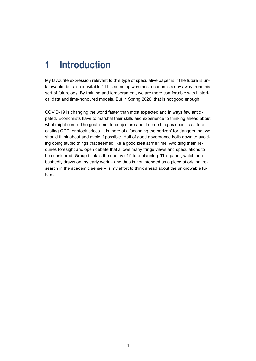# **1 Introduction**

My favourite expression relevant to this type of speculative paper is: "The future is unknowable, but also inevitable." This sums up why most economists shy away from this sort of futurology. By training and temperament, we are more comfortable with historical data and time-honoured models. But in Spring 2020, that is not good enough.

COVID-19 is changing the world faster than most expected and in ways few anticipated. Economists have to marshal their skills and experience to thinking ahead about what might come. The goal is not to conjecture about something as specific as forecasting GDP, or stock prices. It is more of a 'scanning the horizon' for dangers that we should think about and avoid if possible. Half of good governance boils down to avoiding doing stupid things that seemed like a good idea at the time. Avoiding them requires foresight and open debate that allows many fringe views and speculations to be considered. Group think is the enemy of future planning. This paper, which unabashedly draws on my early work – and thus is not intended as a piece of original research in the academic sense – is my effort to think ahead about the unknowable future.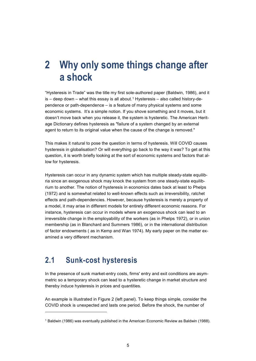### **2 Why only some things change after a shock**

"Hysteresis in Trade" was the title my first sole-authored paper (Baldwin, 1986), and it  $is -$  deep down – what this essay is all about.<sup>[1](#page-4-0)</sup> Hysteresis – also called history-dependence or path-dependence – is a feature of many physical systems and some economic systems. It's a simple notion. If you shove something and it moves, but it doesn't move back when you release it, the system is hysteretic. The American Heritage Dictionary defines hysteresis as "failure of a system changed by an external agent to return to its original value when the cause of the change is removed."

This makes it natural to pose the question in terms of hysteresis. Will COVID causes hysteresis in globalisation? Or will everything go back to the way it was? To get at this question, it is worth briefly looking at the sort of economic systems and factors that allow for hysteresis.

Hysteresis can occur in any dynamic system which has multiple steady-state equilibria since an exogenous shock may knock the system from one steady-state equilibrium to another. The notion of hysteresis in economics dates back at least to Phelps (1972) and is somewhat related to well-known effects such as irreversibility, ratchet effects and path-dependencies. However, because hysteresis is merely a property of a model, it may arise in different models for entirely different economic reasons. For instance, hysteresis can occur in models where an exogenous shock can lead to an irreversible change in the employability of the workers (as in Phelps 1972), or in union membership (as in Blanchard and Summers 1986), or in the international distribution of factor endowments ( as in Kemp and Wan 1974). My early paper on the matter examined a very different mechanism.

### **2.1 Sunk-cost hysteresis**

j

In the presence of sunk market-entry costs, firms' entry and exit conditions are asymmetric so a temporary shock can lead to a hysteretic change in market structure and thereby induce hysteresis in prices and quantities.

An example is illustrated in Figure 2 (left panel). To keep things simple, consider the COVID shock is unexpected and lasts one period. Before the shock, the number of

<span id="page-4-0"></span><sup>1</sup> Baldwin (1986) was eventually published in the American Economic Review as Baldwin (1988).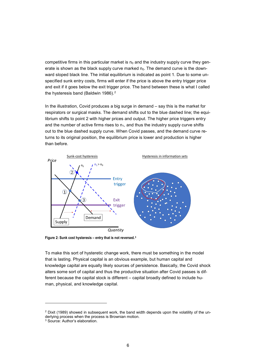competitive firms in this particular market is  $n<sub>0</sub>$  and the industry supply curve they generate is shown as the black supply curve marked  $n_0$ . The demand curve is the downward sloped black line. The initial equilibrium is indicated as point 1. Due to some unspecified sunk entry costs, firms will enter if the price is above the entry trigger price and exit if it goes below the exit trigger price. The band between these is what I called the hysteresis band (Baldwin 1986).<sup>[2](#page-5-0)</sup>

In the illustration, Covid produces a big surge in demand – say this is the market for respirators or surgical masks. The demand shifts out to the blue dashed line; the equilibrium shifts to point 2 with higher prices and output. The higher price triggers entry and the number of active firms rises to  $n_1$ , and thus the industry supply curve shifts out to the blue dashed supply curve. When Covid passes, and the demand curve returns to its original position, the equilibrium price is lower and production is higher than before.



**Figure 2: Sunk cost hysteresis – entry that is not reversed.[3](#page-5-1)**

To make this sort of hysteretic change work, there must be something in the model that is lasting. Physical capital is an obvious example, but human capital and knowledge capital are equally likely sources of persistence. Basically, the Covid shock alters some sort of capital and thus the productive situation after Covid passes is different because the capital stock is different – capital broadly defined to include human, physical, and knowledge capital.

<span id="page-5-0"></span> $2$  Dixit (1989) showed in subsequent work, the band width depends upon the volatility of the underlying process when the process is Brownian motion.

<span id="page-5-1"></span><sup>3</sup> Source: Author's elaboration.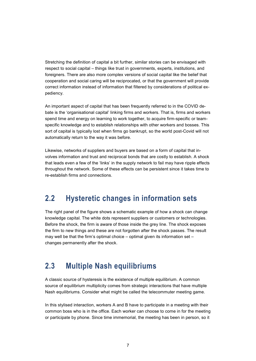Stretching the definition of capital a bit further, similar stories can be envisaged with respect to social capital – things like trust in governments, experts, institutions, and foreigners. There are also more complex versions of social capital like the belief that cooperation and social caring will be reciprocated, or that the government will provide correct information instead of information that filtered by considerations of political expediency.

An important aspect of capital that has been frequently referred to in the COVID debate is the 'organisational capital' linking firms and workers. That is, firms and workers spend time and energy on learning to work together, to acquire firm-specific or teamspecific knowledge and to establish relationships with other workers and bosses. This sort of capital is typically lost when firms go bankrupt, so the world post-Covid will not automatically return to the way it was before.

Likewise, networks of suppliers and buyers are based on a form of capital that involves information and trust and reciprocal bonds that are costly to establish. A shock that leads even a few of the 'links' in the supply network to fail may have ripple effects throughout the network. Some of these effects can be persistent since it takes time to re-establish firms and connections.

### **2.2 Hysteretic changes in information sets**

The right panel of the figure shows a schematic example of how a shock can change knowledge capital. The white dots represent suppliers or customers or technologies. Before the shock, the firm is aware of those inside the grey line. The shock exposes the firm to new things and these are not forgotten after the shock passes. The result may well be that the firm's optimal choice – optimal given its information set – changes permanently after the shock.

### **2.3 Multiple Nash equilibriums**

A classic source of hysteresis is the existence of multiple equilibrium. A common source of equilibrium multiplicity comes from strategic interactions that have multiple Nash equilibriums. Consider what might be called the telecommuter meeting game.

In this stylised interaction, workers A and B have to participate in a meeting with their common boss who is in the office. Each worker can choose to come in for the meeting or participate by phone. Since time immemorial, the meeting has been in person, so it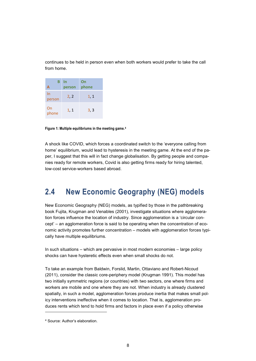continues to be held in person even when both workers would prefer to take the call from home.

| В<br>А       | In<br>person | On<br>phone |
|--------------|--------------|-------------|
| In<br>person | 2, 2         | 1, 1        |
| On<br>phone  | 1, 1         | 3, 3        |

**Figure 1: Multiple equilibriums in the meeting game.[4](#page-7-0)**

A shock like COVID, which forces a coordinated switch to the 'everyone calling from home' equilibrium, would lead to hysteresis in the meeting game. At the end of the paper, I suggest that this will in fact change globalisation. By getting people and companies ready for remote workers, Covid is also getting firms ready for hiring talented, low-cost service-workers based abroad.

### **2.4 New Economic Geography (NEG) models**

New Economic Geography (NEG) models, as typified by those in the pathbreaking book Fujita, Krugman and Venables (2001), investigate situations where agglomeration forces influence the location of industry. Since agglomeration is a 'circular concept' – an agglomeration force is said to be operating when the concentration of economic activity promotes further concentration – models with agglomeration forces typically have multiple equilibriums.

In such situations – which are pervasive in most modern economies – large policy shocks can have hysteretic effects even when small shocks do not.

To take an example from Baldwin, Forslid, Martin, Ottaviano and Robert-Nicoud (2011), consider the classic core-periphery model (Krugman 1991). This model has two initially symmetric regions (or countries) with two sectors, one where firms and workers are mobile and one where they are not. When industry is already clustered spatially, in such a model, agglomeration forces produce inertia that makes small policy interventions ineffective when it comes to location. That is, agglomeration produces rents which tend to hold firms and factors in place even if a policy otherwise

<span id="page-7-0"></span><sup>4</sup> Source: Author's elaboration.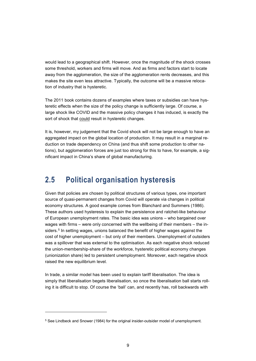would lead to a geographical shift. However, once the magnitude of the shock crosses some threshold, workers and firms will move. And as firms and factors start to locate away from the agglomeration, the size of the agglomeration rents decreases, and this makes the site even less attractive. Typically, the outcome will be a massive relocation of industry that is hysteretic.

The 2011 book contains dozens of examples where taxes or subsidies can have hysteretic effects when the size of the policy change is sufficiently large. Of course, a large shock like COVID and the massive policy changes it has induced, is exactly the sort of shock that could result in hysteretic changes.

It is, however, my judgement that the Covid shock will not be large enough to have an aggregated impact on the global location of production. It may result in a marginal reduction on trade dependency on China (and thus shift some production to other nations), but agglomeration forces are just too strong for this to have, for example, a significant impact in China's share of global manufacturing.

### **2.5 Political organisation hysteresis**

Given that policies are chosen by political structures of various types, one important source of quasi-permanent changes from Covid will operate via changes in political economy structures. A good example comes from Blanchard and Summers (1986). These authors used hysteresis to explain the persistence and ratchet-like behaviour of European unemployment rates. The basic idea was unions – who bargained over wages with firms – were only concerned with the wellbeing of their members – the in-siders.<sup>[5](#page-8-0)</sup> In setting wages, unions balanced the benefit of higher wages against the cost of higher unemployment – but only of their members. Unemployment of outsiders was a spillover that was external to the optimisation. As each negative shock reduced the union-membership-share of the workforce, hysteretic political economy changes (unionization share) led to persistent unemployment. Moreover, each negative shock raised the new equilibrium level.

In trade, a similar model has been used to explain tariff liberalisation. The idea is simply that liberalisation begets liberalisation, so once the liberalisation ball starts rolling it is difficult to stop. Of course the 'ball' can, and recently has, roll backwards with

<span id="page-8-0"></span><sup>&</sup>lt;sup>5</sup> See Lindbeck and Snower (1984) for the original insider-outsider model of unemployment.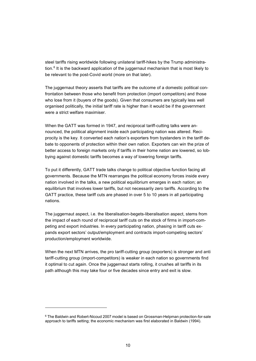steel tariffs rising worldwide following unilateral tariff-hikes by the Trump administration. [6](#page-9-0) It is the backward application of the juggernaut mechanism that is most likely to be relevant to the post-Covid world (more on that later).

The juggernaut theory asserts that tariffs are the outcome of a domestic political confrontation between those who benefit from protection (import competitors) and those who lose from it (buyers of the goods). Given that consumers are typically less well organised politically, the initial tariff rate is higher than it would be if the government were a strict welfare maximiser.

When the GATT was formed in 1947, and reciprocal tariff-cutting talks were announced, the political alignment inside each participating nation was altered. Reciprocity is the key. It converted each nation's exporters from bystanders in the tariff debate to opponents of protection within their own nation. Exporters can win the prize of better access to foreign markets only if tariffs in their home nation are lowered, so lobbying against domestic tariffs becomes a way of lowering foreign tariffs.

To put it differently, GATT trade talks change to political objective function facing all governments. Because the MTN rearranges the political economy forces inside every nation involved in the talks, a new political equilibrium emerges in each nation; an equilibrium that involves lower tariffs, but not necessarily zero tariffs. According to the GATT practice, these tariff cuts are phased in over 5 to 10 years in all participating nations.

The juggernaut aspect, i.e. the liberalisation-begets-liberalisation aspect, stems from the impact of each round of reciprocal tariff cuts on the stock of firms in import-competing and export industries. In every participating nation, phasing in tariff cuts expands export sectors' output/employment and contracts import-competing sectors' production/employment worldwide.

When the next MTN arrives, the pro tariff-cutting group (exporters) is stronger and anti tariff-cutting group (import-competitors) is weaker in each nation so governments find it optimal to cut again. Once the juggernaut starts rolling, it crushes all tariffs in its path although this may take four or five decades since entry and exit is slow.

-

<span id="page-9-0"></span><sup>6</sup> The Baldwin and Robert-Nicoud 2007 model is based on Grossman-Helpman protection-for-sale approach to tariffs setting; the economic mechanism was first elaborated in Baldwin (1994).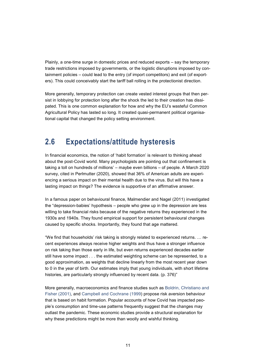Plainly, a one-time surge in domestic prices and reduced exports – say the temporary trade restrictions imposed by governments, or the logistic disruptions imposed by containment policies – could lead to the entry (of import competitors) and exit (of exporters). This could conceivably start the tariff ball rolling in the protectionist direction.

More generally, temporary protection can create vested interest groups that then persist in lobbying for protection long after the shock the led to their creation has dissipated. This is one common explanation for how and why the EU's wasteful Common Agricultural Policy has lasted so long. It created quasi-permanent political organisational capital that changed the policy setting environment.

### **2.6 Expectations/attitude hysteresis**

In financial economics, the notion of 'habit formation' is relevant to thinking ahead about the post-Covid world. Many psychologists are pointing out that confinement is taking a toll on hundreds of millions' – maybe even billions – of people. A March 2020 survey, cited in Perlmutter (2020), showed that 36% of American adults are experiencing a serious impact on their mental health due to the virus. But will this have a lasting impact on things? The evidence is supportive of an affirmative answer.

In a famous paper on behavioural finance, Malmendier and Nagel (2011) investigated the "depression-babies' hypothesis – people who grew up in the depression are less willing to take financial risks because of the negative returns they experienced in the 1930s and 1940s. They found empirical support for persistent behavioural changes caused by specific shocks. Importantly, they found that age mattered.

"We find that households' risk taking is strongly related to experienced returns. … recent experiences always receive higher weights and thus have a stronger influence on risk taking than those early in life, but even returns experienced decades earlier still have some impact . . . the estimated weighting scheme can be represented, to a good approximation, as weights that decline linearly from the most recent year down to 0 in the year of birth. Our estimates imply that young individuals, with short lifetime histories, are particularly strongly influenced by recent data. (p. 376)"

More generally, macroeconomics and finance studies such as [Boldrin, Christiano](https://journals.sagepub.com/doi/10.1177/2158244018778734?icid=int.sj-abstract.similar-articles.3) and [Fisher \(2001\),](https://journals.sagepub.com/doi/10.1177/2158244018778734?icid=int.sj-abstract.similar-articles.3) and [Campbell and Cochrane \(1999\)](https://journals.sagepub.com/doi/10.1177/2158244018778734?icid=int.sj-abstract.similar-articles.3) propose risk aversion behaviour that is based on habit formation. Popular accounts of how Covid has impacted people's consumption and time-use patterns frequently suggest that the changes may outlast the pandemic. These economic studies provide a structural explanation for why these predictions might be more than woolly and wishful thinking.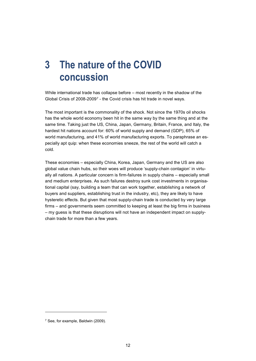# **3 The nature of the COVID concussion**

While international trade has collapse before – most recently in the shadow of the Global Crisis of 2008-2009[7](#page-11-0) - the Covid crisis has hit trade in novel ways.

The most important is the commonality of the shock. Not since the 1970s oil shocks has the whole world economy been hit in the same way by the same thing and at the same time. Taking just the US, China, Japan, Germany, Britain, France, and Italy, the hardest hit nations account for: 60% of world supply and demand (GDP), 65% of world manufacturing, and 41% of world manufacturing exports. To paraphrase an especially apt quip: when these economies sneeze, the rest of the world will catch a cold.

These economies – especially China, Korea, Japan, Germany and the US are also global value chain hubs, so their woes will produce 'supply-chain contagion' in virtually all nations. A particular concern is firm-failures in supply chains – especially small and medium enterprises. As such failures destroy sunk cost investments in organisational capital (say, building a team that can work together, establishing a network of buyers and suppliers, establishing trust in the industry, etc), they are likely to have hysteretic effects. But given that most supply-chain trade is conducted by very large firms – and governments seem committed to keeping at least the big firms in business – my guess is that these disruptions will not have an independent impact on supplychain trade for more than a few years.

<span id="page-11-0"></span><sup>7</sup> See, for example, Baldwin (2009).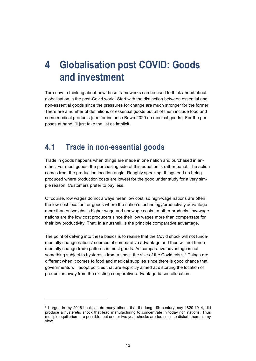## **4 Globalisation post COVID: Goods and investment**

Turn now to thinking about how these frameworks can be used to think ahead about globalisation in the post-Covid world. Start with the distinction between essential and non-essential goods since the pressures for change are much stronger for the former. There are a number of definitions of essential goods but all of them include food and some medical products (see for instance Bown 2020 on medical goods). For the purposes at hand I'll just take the list as implicit.

#### **4.1 Trade in non-essential goods**

Trade in goods happens when things are made in one nation and purchased in another. For most goods, the purchasing side of this equation is rather banal. The action comes from the production location angle. Roughly speaking, things end up being produced where production costs are lowest for the good under study for a very simple reason. Customers prefer to pay less.

Of course, low wages do not always mean low cost, so high-wage nations are often the low-cost location for goods where the nation's technology/productivity advantage more than outweighs is higher wage and nonwage costs. In other products, low-wage nations are the low cost producers since their low wages more than compensate for their low productivity. That, in a nutshell, is the principle comparative advantage.

The point of delving into these basics is to realise that the Covid shock will not fundamentally change nations' sources of comparative advantage and thus will not fundamentally change trade patterns in most goods. As comparative advantage is not something subject to hysteresis from a shock the size of the Covid crisis. $8$  Things are different when it comes to food and medical supplies since there is good chance that governments will adopt policies that are explicitly aimed at distorting the location of production away from the existing comparative-advantage-based allocation.

-

<span id="page-12-0"></span><sup>&</sup>lt;sup>8</sup> I argue in my 2016 book, as do many others, that the long 19h century, say 1820-1914, did produce a hysteretic shock that lead manufacturing to concentrate in today rich nations. Thus multiple equilibrium are possible, but one or two year shocks are too small to disturb them, in my view.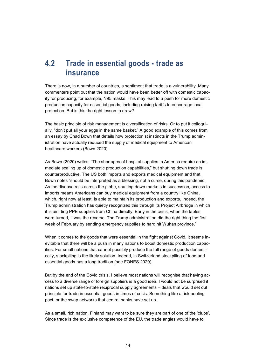### **4.2 Trade in essential goods - trade as insurance**

There is now, in a number of countries, a sentiment that trade is a vulnerability. Many commenters point out that the nation would have been better off with domestic capacity for producing, for example, N95 masks. This may lead to a push for more domestic production capacity for essential goods, including raising tariffs to encourage local protection. But is this the right lesson to draw?

The basic principle of risk management is diversification of risks. Or to put it colloquially, "don't put all your eggs in the same basket." A good example of this comes from an essay by Chad Bown that details how protectionist instincts in the Trump administration have actually reduced the supply of medical equipment to American healthcare workers (Bown 2020).

As Bown (2020) writes: "The shortages of hospital supplies in America require an immediate scaling up of domestic production capabilities," but shutting down trade is counterproductive. The US both imports and exports medical equipment and that, Bown notes "should be interpreted as a blessing, not a curse, during this pandemic. As the disease rolls across the globe, shutting down markets in succession, access to imports means Americans can buy medical equipment from a country like China, which, right now at least, is able to maintain its production and exports. Indeed, the Trump administration has quietly recognized this through its Project Airbridge in which it is airlifting PPE supplies from China directly. Early in the crisis, when the tables were turned, it was the reverse. The Trump administration did the right thing the first week of February by sending emergency supplies to hard hit Wuhan province."

When it comes to the goods that were essential in the fight against Covid, it seems inevitable that there will be a push in many nations to boost domestic production capacities. For small nations that cannot possibly produce the full range of goods domestically, stockpiling is the likely solution. Indeed, in Switzerland stockpiling of food and essential goods has a long tradition (see FONES 2020).

But by the end of the Covid crisis, I believe most nations will recognise that having access to a diverse range of foreign suppliers is a good idea. I would not be surprised if nations set up state-to-state reciprocal supply agreements – deals that would set out principle for trade in essential goods in times of crisis. Something like a risk pooling pact, or the swap networks that central banks have set up.

As a small, rich nation, Finland may want to be sure they are part of one of the 'clubs'. Since trade is the exclusive competence of the EU, the trade angles would have to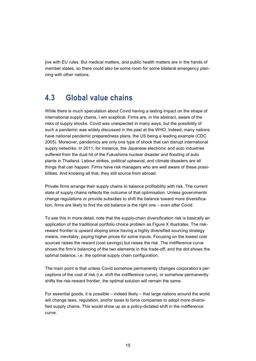jive with EU rules. But medical matters, and public health matters are in the hands of member states, so there could also be some room for some bilateral emergency planning with other nations.

#### **4.3 Global value chains**

While there is much speculation about Covid having a lasting impact on the shape of international supply chains, I am sceptical. Firms are, in the abstract, aware of the risks of supply shocks. Covid was unexpected in many ways, but the possibility of such a pandemic was widely discussed in the past at the WHO. Indeed, many nations have national pandemic preparedness plans, the US being a leading example (CDC 2005). Moreover, pandemics are only one type of shock that can disrupt international supply networks. In 2011, for instance, the Japanese electronic and auto industries suffered from the dual hit of the Fukushima nuclear disaster and flooding of auto plants in Thailand. Labour strikes, political upheaval, and climate disasters are all things that can happen. Firms have risk managers who are well aware of these possibilities. And knowing all that, they still source from abroad.

Private firms arrange their supply chains to balance profitability with risk. The current state of supply chains reflects the outcome of that optimisation. Unless governments change regulations or provide subsidies to shift the balance toward more diversification, firms are likely to find the old balance is the right one – even after Covid.

To see this in more detail, note that the supply-chain diversification risk is basically an application of the traditional portfolio choice problem as Figure X illustrates. The riskreward frontier is upward sloping since having a highly diversified sourcing strategy means, inevitably, paying higher prices for some inputs. Focusing on the lowest cost sources raises the reward (cost savings) but raises the risk. The indifference curve shows the firm's balancing of the two elements in this trade-off, and the dot shows the optimal balance, i.e. the optimal supply chain configuration.

The main point is that unless Covid somehow permanently changes corporation's perceptions of the cost of risk (i.e. shift the indifference curve), or somehow permanently shifts the risk-reward frontier, the optimal solution will remain the same.

For essential goods, it is possible – indeed likely – that large nations around the world will change laws, regulation, and/or taxes to force companies to adopt more diversified supply chains. This would show up as a policy-dictated shift in the indifference curve.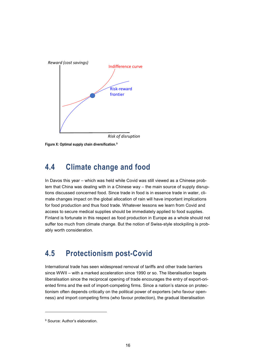

*Risk of disruption*

**Figure X: Optimal supply chain diversification.[9](#page-15-0)** 

### **4.4 Climate change and food**

In Davos this year – which was held while Covid was still viewed as a Chinese problem that China was dealing with in a Chinese way – the main source of supply disruptions discussed concerned food. Since trade in food is in essence trade in water, climate changes impact on the global allocation of rain will have important implications for food production and thus food trade. Whatever lessons we learn from Covid and access to secure medical supplies should be immediately applied to food supplies. Finland is fortunate in this respect as food production in Europe as a whole should not suffer too much from climate change. But the notion of Swiss-style stockpiling is probably worth consideration.

### **4.5 Protectionism post-Covid**

International trade has seen widespread removal of tariffs and other trade barriers since WWII – with a marked acceleration since 1990 or so. The liberalisation begets liberalisation since the reciprocal opening of trade encourages the entry of export-oriented firms and the exit of import-competing firms. Since a nation's stance on protectionism often depends critically on the political power of exporters (who favour openness) and import competing firms (who favour protection), the gradual liberalisation

<span id="page-15-0"></span><sup>9</sup> Source: Author's elaboration.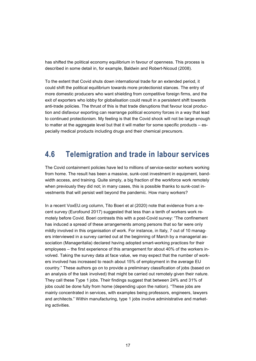has shifted the political economy equilibrium in favour of openness. This process is described in some detail in, for example, Baldwin and Robert-Nicoud (2008).

To the extent that Covid shuts down international trade for an extended period, it could shift the political equilibrium towards more protectionist stances. The entry of more domestic producers who want shielding from competitive foreign firms, and the exit of exporters who lobby for globalisation could result in a persistent shift towards anti-trade policies. The thrust of this is that trade disruptions that favour local production and disfavour exporting can rearrange political economy forces in a way that lead to continued protectionism. My feeling is that the Covid shock will not be large enough to matter at the aggregate level but that it will matter for some specific products  $-$  especially medical products including drugs and their chemical precursors.

### **4.6 Telemigration and trade in labour services**

The Covid containment policies have led to millions of service-sector workers working from home. The result has been a massive, sunk-cost investment in equipment, bandwidth access, and training. Quite simply, a big fraction of the workforce work remotely when previously they did not; in many cases, this is possible thanks to sunk-cost investments that will persist well beyond the pandemic. How many workers?

In a recent VoxEU.org column, Tito Boeri et al (2020) note that evidence from a recent survey (Eurofound 2017) suggested that less than a tenth of workers work remotely before Covid. Boeri contrasts this with a post-Covid survey: "The confinement has induced a spread of these arrangements among persons that so far were only mildly involved in this organisation of work. For instance, in Italy, 7 out of 10 managers interviewed in a survey carried out at the beginning of March by a managerial association (Manageritalia) declared having adopted smart-working practices for their employees – the first experience of this arrangement for about 40% of the workers involved. Taking the survey data at face value, we may expect that the number of workers involved has increased to reach about 15% of employment in the average EU country." These authors go on to provide a preliminary classification of jobs (based on an analysis of the task involved) that might be carried out remotely given their nature. They call these Type 1 jobs. Their findings suggest that between 24% and 31% of jobs could be done fully from home (depending upon the nation). "These jobs are mainly concentrated in services, with examples being professors, engineers, lawyers and architects." Within manufacturing, type 1 jobs involve administrative and marketing activities.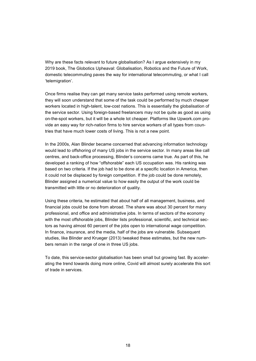Why are these facts relevant to future globalisation? As I argue extensively in my 2019 book, The Globotics Upheaval: Globalisation, Robotics and the Future of Work, domestic telecommuting paves the way for international telecommuting, or what I call 'telemigration'.

Once firms realise they can get many service tasks performed using remote workers, they will soon understand that some of the task could be performed by much cheaper workers located in high-talent, low-cost nations. This is essentially the globalisation of the service sector. Using foreign-based freelancers may not be quite as good as using on-the-spot workers, but it will be a whole lot cheaper. Platforms like Upwork.com provide an easy way for rich-nation firms to hire service workers of all types from countries that have much lower costs of living. This is not a new point.

In the 2000s, Alan Blinder became concerned that advancing information technology would lead to offshoring of many US jobs in the service sector. In many areas like call centres, and back-office processing, Blinder's concerns came true. As part of this, he developed a ranking of how "offshorable" each US occupation was. His ranking was based on two criteria. If the job had to be done at a specific location in America, then it could not be displaced by foreign competition. If the job could be done remotely, Blinder assigned a numerical value to how easily the output of the work could be transmitted with little or no deterioration of quality.

Using these criteria, he estimated that about half of all management, business, and financial jobs could be done from abroad. The share was about 30 percent for many professional, and office and administrative jobs. In terms of sectors of the economy with the most offshorable jobs, Blinder lists professional, scientific, and technical sectors as having almost 60 percent of the jobs open to international wage competition. In finance, insurance, and the media, half of the jobs are vulnerable. Subsequent studies, like Blinder and Krueger (2013) tweaked these estimates, but the new numbers remain in the range of one in three US jobs.

To date, this service-sector globalisation has been small but growing fast. By accelerating the trend towards doing more online, Covid will almost surely accelerate this sort of trade in services.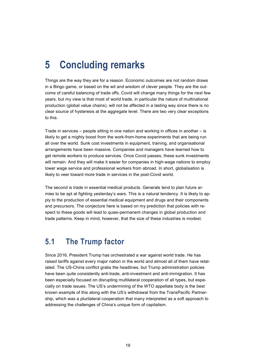## **5 Concluding remarks**

Things are the way they are for a reason. Economic outcomes are not random draws in a Bingo game, or based on the wit and wisdom of clever people. They are the outcome of careful balancing of trade offs. Covid will change many things for the next few years, but my view is that most of world trade, in particular the nature of multinational production (global value chains), will not be affected in a lasting way since there is no clear source of hysteresis at the aggregate level. There are two very clear exceptions to this.

Trade in services – people sitting in one nation and working in offices in another – is likely to get a mighty boost from the work-from-home experiments that are being run all over the world. Sunk cost investments in equipment, training, and organisational arrangements have been massive. Companies and managers have learned how to get remote workers to produce services. Once Covid passes, these sunk investments will remain. And they will make it easier for companies in high-wage nations to employ lower wage service and professional workers from abroad. In short, globalisation is likely to veer toward more trade in services in the post-Covid world.

The second is trade in essential medical products. Generals tend to plan future armies to be apt at fighting yesterday's wars. This is a natural tendency. It is likely to apply to the production of essential medical equipment and drugs and their components and precursors. The conjecture here is based on my prediction that policies with respect to these goods will lead to quasi-permanent changes in global production and trade patterns. Keep in mind, however, that the size of these industries is modest.

### **5.1 The Trump factor**

Since 2016, President Trump has orchestrated a war against world trade. He has raised tariffs against every major nation in the world and almost all of them have retaliated. The US-China conflict grabs the headlines, but Trump administration policies have been quite consistently anti-trade, anti-investment and anti-immigration. It has been especially focused on disrupting multilateral cooperation of all types, but especially on trade issues. The US's undermining of the WTO appellate body is the best known example of this along with the US's withdrawal from the TransPacific Partnership, which was a plurilateral cooperation that many interpreted as a soft approach to addressing the challenges of China's unique form of capitalism.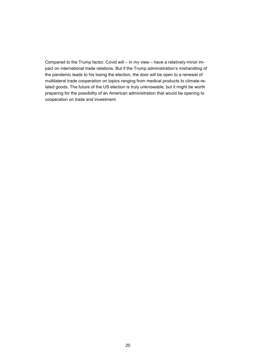Compared to the Trump factor, Covid will – in my view – have a relatively minor impact on international trade relations. But if the Trump administration's mishandling of the pandemic leads to his losing the election, the door will be open to a renewal of multilateral trade cooperation on topics ranging from medical products to climate-related goods. The future of the US election is truly unknowable, but it might be worth preparing for the possibility of an American administration that would be opening to cooperation on trade and investment.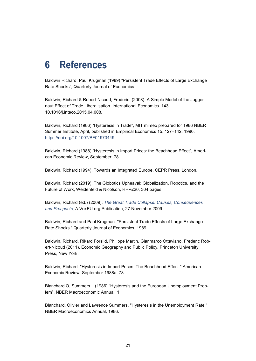### **6 References**

Baldwin Richard, Paul Krugman (1989) "Persistent Trade Effects of Large Exchange Rate Shocks", Quarterly Journal of Economics

Baldwin, Richard & Robert-Nicoud, Frederic. (2008). A Simple Model of the Juggernaut Effect of Trade Liberalisation. International Economics. 143. 10.1016/j.inteco.2015.04.008.

Baldwin, Richard (1986) "Hysteresis in Trade", MIT mimeo prepared for 1986 NBER Summer Institute, April, published in Empirical Economics 15, 127–142, 1990, <https://doi.org/10.1007/BF01973449>

Baldwin, Richard (1988) "Hysteresis in Import Prices: the Beachhead Effect", American Economic Review, September, 78

Baldwin, Richard (1994). Towards an Integrated Europe, CEPR Press, London.

Baldwin, Richard (2019). The Globotics Upheaval: Globalization, Robotics, and the Future of Work, Weidenfeld & Nicolson, RRP£20, 304 pages.

Baldwin, Richard (ed.) (2009), *[The Great Trade Collapse: Causes, Consequences](https://voxeu.org/epubs/cepr-reports/great-trade-collapse-causes-consequences-and-prospects)  [and Prospects,](https://voxeu.org/epubs/cepr-reports/great-trade-collapse-causes-consequences-and-prospects)* A VoxEU.org Publication, 27 November 2009.

Baldwin, Richard and Paul Krugman. "Persistent Trade Effects of Large Exchange Rate Shocks." Quarterly Journal of Economics, 1989.

Baldwin, Richard, Rikard Forslid, Philippe Martin, Gianmarco Ottaviano, Frederic Robert-Nicoud (2011). Economic Geography and Public Policy, Princeton University Press, New York.

Baldwin, Richard. "Hysteresis in Import Prices: The Beachhead Effect." American Economic Review, September 1988a, 78.

Blanchard O, Summers L (1986) "Hysteresis and the European Unemployment Problem", NBER Macroeconomic Annual, 1

Blanchard, Olivier and Lawrence Summers. "Hysteresis in the Unemployment Rate," NBER Macroeconomics Annual, 1986.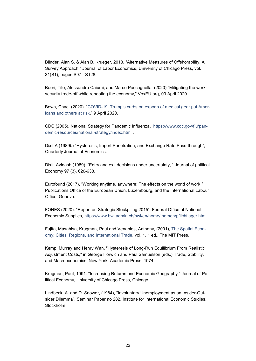Blinder, Alan S. & Alan B. Krueger, 2013. "Alternative Measures of Offshorability: A Survey Approach," Journal of Labor Economics, University of Chicago Press, vol. 31(S1), pages S97 - S128.

Boeri, Tito, Alessandro Caiumi, and Marco Paccagnella (2020) "Mitigating the worksecurity trade-off while rebooting the economy," VoxEU.org, 09 April 2020.

Bown, Chad (2020). ["COVID-19: Trump's curbs on exports of medical gear put Amer](https://www.piie.com/blogs/trade-and-investment-policy-watch/covid-19-trumps-curbs-exports-medical-gear-put-americans-and)[icans and others at risk,](https://www.piie.com/blogs/trade-and-investment-policy-watch/covid-19-trumps-curbs-exports-medical-gear-put-americans-and)" 9 April 2020.

CDC (2005). National Strategy for Pandemic Influenza, [https://www.cdc.gov/flu/pan](https://www.cdc.gov/flu/pandemic-resources/national-strategy/index.html)[demic-resources/national-strategy/index.html](https://www.cdc.gov/flu/pandemic-resources/national-strategy/index.html) .

Dixit A (1989b) "Hysteresis, Import Penetration, and Exchange Rate Pass-through", Quarterly Journal of Economics.

Dixit, Avinash (1989). "Entry and exit decisions under uncertainty, " Journal of political Economy 97 (3), 620-638.

Eurofound (2017), "Working anytime, anywhere: The effects on the world of work," Publications Office of the European Union, Luxembourg, and the International Labour Office, Geneva.

FONES (2020). "Report on Strategic Stockpiling 2015", Federal Office of National Economic Supplies, [https://www.bwl.admin.ch/bwl/en/home/themen/pflichtlager.html.](https://www.bwl.admin.ch/bwl/en/home/themen/pflichtlager.html)

Fujita, Masahisa, Krugman, Paul and Venables, Anthony, (2001), [The Spatial Econ](https://econpapers.repec.org/RePEc:mtp:titles:0262561476)[omy: Cities, Regions, and International Trade,](https://econpapers.repec.org/RePEc:mtp:titles:0262561476) vol. 1, 1 ed., The MIT Press.

Kemp, Murray and Henry Wan. "Hysteresis of Long-Run Equilibrium From Realistic Adjustment Costs," in George Horwich and Paul Samuelson (eds.) Trade, Stability, and Macroeconomics. New York: Academic Press, 1974.

Krugman, Paul, 1991. "Increasing Returns and Economic Geography," Journal of Political Economy, University of Chicago Press, Chicago.

Lindbeck, A. and D. Snower, (1984), "Involuntary Unemployment as an Insider-Outsider Dilemma", Seminar Paper no 282, Institute for International Economic Studies, Stockholm.